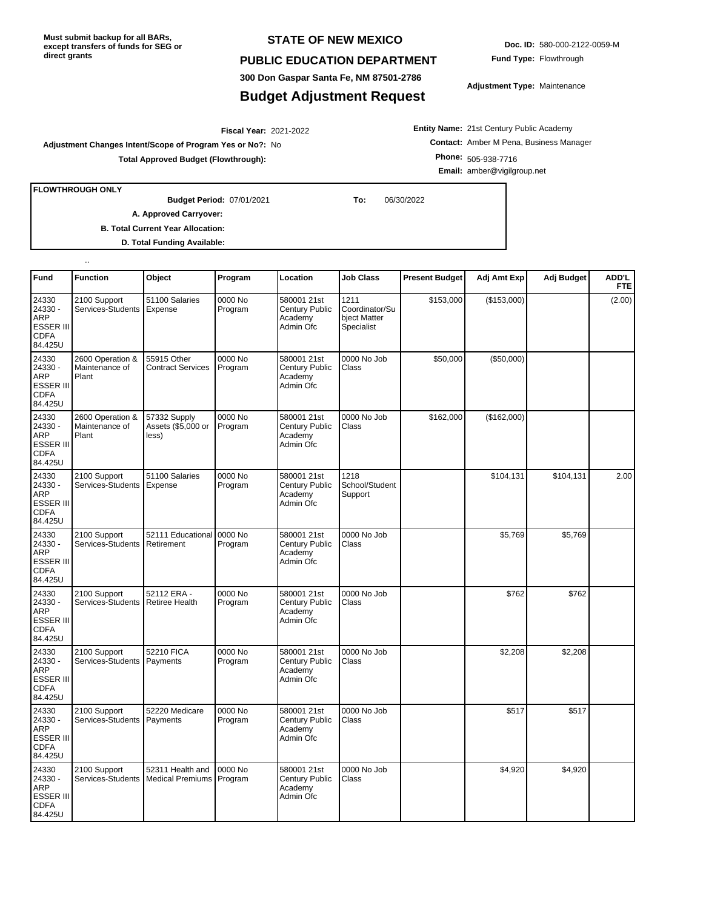**Must submit backup for all BARs, except transfers of funds for SEG or direct grants**

## **STATE OF NEW MEXICO**

## **PUBLIC EDUCATION DEPARTMENT**

**300 Don Gaspar Santa Fe, NM 87501-2786**

## **Budget Adjustment Request**

**Doc. ID:** 580-000-2122-0059-M **Fund Type:** Flowthrough

**Adjustment Type:** Maintenance

**Entity Name:** 21st Century Public Academy **Contact:** Amber M Pena, Business Manager **Phone:** 505-938-7716 **Email:** amber@vigilgroup.net

**FLOWTHROUGH ONLY**

..

07/01/2021 **To:** 06/30/2022 **Budget Period:**

**Total Approved Budget (Flowthrough):**

2021-2022 **Fiscal Year:**

**A. Approved Carryover:** 

**Adjustment Changes Intent/Scope of Program Yes or No?:** No

**B. Total Current Year Allocation:**

**D. Total Funding Available:**

| Fund                                                                         | <b>Function</b>                             | Object                                      | Program            | Location                                                     | <b>Job Class</b>                                     | <b>Present Budget</b> | Adj Amt Exp | Adj Budget | ADD'L<br><b>FTE</b> |
|------------------------------------------------------------------------------|---------------------------------------------|---------------------------------------------|--------------------|--------------------------------------------------------------|------------------------------------------------------|-----------------------|-------------|------------|---------------------|
| 24330<br>24330 -<br>ARP<br><b>ESSER III</b><br><b>CDFA</b><br>84.425U        | 2100 Support<br>Services-Students           | 51100 Salaries<br>Expense                   | 0000 No<br>Program | 580001 21st<br>Century Public<br>Academy<br>Admin Ofc        | 1211<br>Coordinator/Su<br>bject Matter<br>Specialist | \$153,000             | (\$153,000) |            | (2.00)              |
| 24330<br>24330 -<br>ARP<br><b>ESSER III</b><br><b>CDFA</b><br>84.425U        | 2600 Operation &<br>Maintenance of<br>Plant | 55915 Other<br><b>Contract Services</b>     | 0000 No<br>Program | 580001 21st<br>Century Public<br>Academy<br>Admin Ofc        | 0000 No Job<br>Class                                 | \$50,000              | (\$50,000)  |            |                     |
| 24330<br>24330 -<br><b>ARP</b><br><b>ESSER III</b><br><b>CDFA</b><br>84.425U | 2600 Operation &<br>Maintenance of<br>Plant | 57332 Supply<br>Assets (\$5,000 or<br>less) | 0000 No<br>Program | 580001 21st<br>Century Public<br>Academy<br>Admin Ofc        | 0000 No Job<br>Class                                 | \$162,000             | (\$162,000) |            |                     |
| 24330<br>24330 -<br>ARP<br><b>ESSER III</b><br>CDFA<br>84.425U               | 2100 Support<br>Services-Students           | 51100 Salaries<br>Expense                   | 0000 No<br>Program | 580001 21st<br>Century Public<br>Academy<br>Admin Ofc        | 1218<br>School/Student<br>Support                    |                       | \$104,131   | \$104,131  | 2.00                |
| 24330<br>24330 -<br>ARP<br><b>ESSER III</b><br><b>CDFA</b><br>84.425U        | 2100 Support<br>Services-Students           | 52111 Educational<br>Retirement             | 0000 No<br>Program | 580001 21st<br>Century Public<br>Academy<br>Admin Ofc        | 0000 No Job<br>Class                                 |                       | \$5,769     | \$5,769    |                     |
| 24330<br>24330 -<br><b>ARP</b><br><b>ESSER III</b><br><b>CDFA</b><br>84.425U | 2100 Support<br>Services-Students           | 52112 ERA -<br><b>Retiree Health</b>        | 0000 No<br>Program | 580001 21st<br>Century Public<br>Academy<br>Admin Ofc        | 0000 No Job<br>Class                                 |                       | \$762       | \$762      |                     |
| 24330<br>24330 -<br>ARP<br><b>ESSER III</b><br><b>CDFA</b><br>84.425U        | 2100 Support<br>Services-Students           | 52210 FICA<br>Payments                      | 0000 No<br>Program | 580001 21st<br><b>Century Public</b><br>Academy<br>Admin Ofc | 0000 No Job<br>Class                                 |                       | \$2,208     | \$2,208    |                     |
| 24330<br>24330 -<br>ARP<br>ESSER III<br><b>CDFA</b><br>84.425U               | 2100 Support<br>Services-Students           | 52220 Medicare<br>Payments                  | 0000 No<br>Program | 580001 21st<br>Century Public<br>Academy<br>Admin Ofc        | 0000 No Job<br>Class                                 |                       | \$517       | \$517      |                     |
| 24330<br>24330 -<br>ARP<br>ESSER III<br><b>CDFA</b><br>84.425U               | 2100 Support<br>Services-Students           | 52311 Health and<br><b>Medical Premiums</b> | 0000 No<br>Program | 580001 21st<br><b>Century Public</b><br>Academy<br>Admin Ofc | 0000 No Job<br>Class                                 |                       | \$4,920     | \$4,920    |                     |